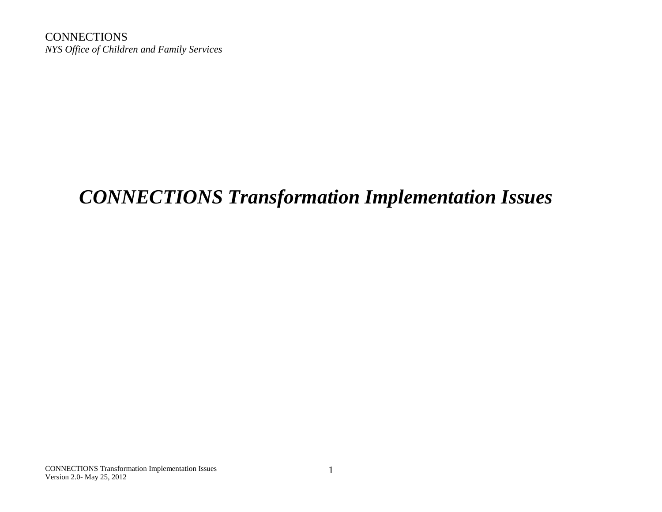**CONNECTIONS** *NYS Office of Children and Family Services*

# *CONNECTIONS Transformation Implementation Issues*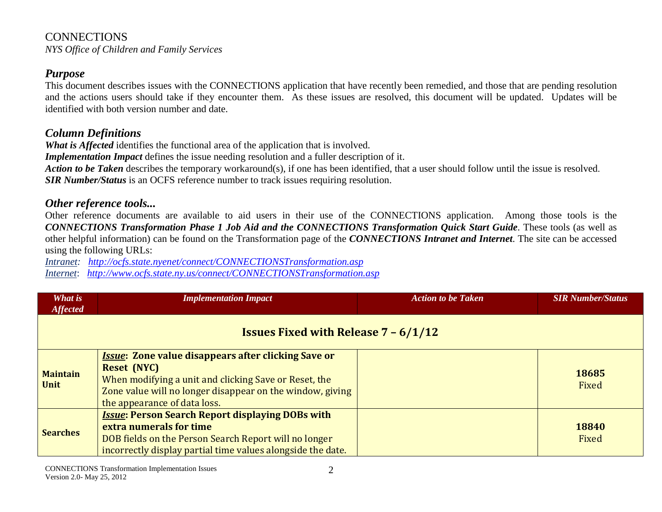#### **CONNECTIONS** *NYS Office of Children and Family Services*

#### *Purpose*

This document describes issues with the CONNECTIONS application that have recently been remedied, and those that are pending resolution and the actions users should take if they encounter them. As these issues are resolved, this document will be updated. Updates will be identified with both version number and date.

#### *Column Definitions*

*What is Affected* identifies the functional area of the application that is involved.

*Implementation Impact* defines the issue needing resolution and a fuller description of it.

*Action to be Taken* describes the temporary workaround(s), if one has been identified, that a user should follow until the issue is resolved. *SIR Number/Status* is an OCFS reference number to track issues requiring resolution.

## *Other reference tools...*

Other reference documents are available to aid users in their use of the CONNECTIONS application. Among those tools is the *CONNECTIONS Transformation Phase 1 Job Aid and the CONNECTIONS Transformation Quick Start Guide*. These tools (as well as other helpful information) can be found on the Transformation page of the *CONNECTIONS Intranet and Internet*. The site can be accessed using the following URLs:

*Intranet: <http://ocfs.state.nyenet/connect/CONNECTIONSTransformation.asp> Internet*: *<http://www.ocfs.state.ny.us/connect/CONNECTIONSTransformation.asp>*

| What is<br><b>Affected</b>                               | <b>Implementation Impact</b>                                                                                                                                                                                                           | <b>Action to be Taken</b> | <b>SIR Number/Status</b> |
|----------------------------------------------------------|----------------------------------------------------------------------------------------------------------------------------------------------------------------------------------------------------------------------------------------|---------------------------|--------------------------|
| <b>Issues Fixed with Release <math>7 - 6/1/12</math></b> |                                                                                                                                                                                                                                        |                           |                          |
| <b>Maintain</b><br><b>Unit</b>                           | <b>Issue: Zone value disappears after clicking Save or</b><br><b>Reset (NYC)</b><br>When modifying a unit and clicking Save or Reset, the<br>Zone value will no longer disappear on the window, giving<br>the appearance of data loss. |                           | 18685<br>Fixed           |
| <b>Searches</b>                                          | <b>Issue: Person Search Report displaying DOBs with</b><br>extra numerals for time<br>DOB fields on the Person Search Report will no longer<br>incorrectly display partial time values alongside the date.                             |                           | 18840<br>Fixed           |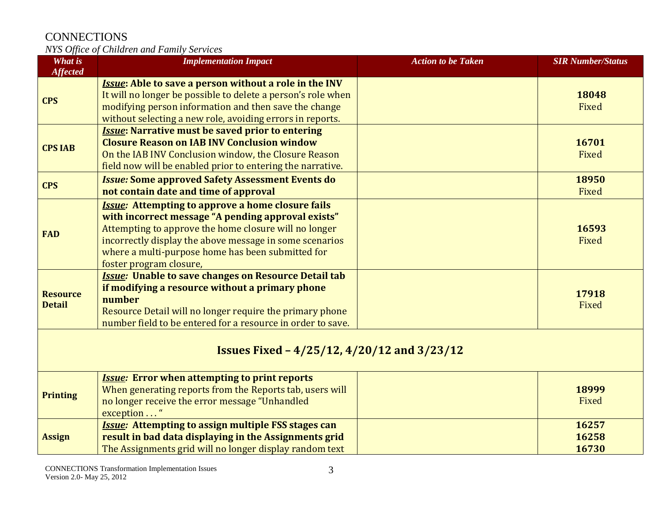| <b>What is</b><br><b>Affected</b>                  | <b>Implementation Impact</b>                                                                                                                                                                                                                                                                                       | <b>Action to be Taken</b> | <b>SIR Number/Status</b> |
|----------------------------------------------------|--------------------------------------------------------------------------------------------------------------------------------------------------------------------------------------------------------------------------------------------------------------------------------------------------------------------|---------------------------|--------------------------|
| <b>CPS</b>                                         | <b>Issue:</b> Able to save a person without a role in the INV<br>It will no longer be possible to delete a person's role when<br>modifying person information and then save the change<br>without selecting a new role, avoiding errors in reports.                                                                |                           | 18048<br>Fixed           |
| <b>CPS IAB</b>                                     | <b>Issue: Narrative must be saved prior to entering</b><br><b>Closure Reason on IAB INV Conclusion window</b><br>On the IAB INV Conclusion window, the Closure Reason<br>field now will be enabled prior to entering the narrative.                                                                                |                           | 16701<br>Fixed           |
| <b>CPS</b>                                         | <b>Issue: Some approved Safety Assessment Events do</b><br>not contain date and time of approval                                                                                                                                                                                                                   |                           | 18950<br>Fixed           |
| <b>FAD</b>                                         | <b>Issue:</b> Attempting to approve a home closure fails<br>with incorrect message "A pending approval exists"<br>Attempting to approve the home closure will no longer<br>incorrectly display the above message in some scenarios<br>where a multi-purpose home has been submitted for<br>foster program closure, |                           | 16593<br>Fixed           |
| <b>Resource</b><br><b>Detail</b>                   | <b>Issue: Unable to save changes on Resource Detail tab</b><br>if modifying a resource without a primary phone<br>number<br>Resource Detail will no longer require the primary phone<br>number field to be entered for a resource in order to save.                                                                |                           | 17918<br>Fixed           |
| <b>Issues Fixed - 4/25/12, 4/20/12 and 3/23/12</b> |                                                                                                                                                                                                                                                                                                                    |                           |                          |
| <b>Printing</b>                                    | <b>Issue:</b> Error when attempting to print reports<br>When generating reports from the Reports tab, users will<br>no longer receive the error message "Unhandled<br>exception "                                                                                                                                  |                           | 18999<br>Fixed           |
| <b>Assign</b>                                      | <b>Issue:</b> Attempting to assign multiple FSS stages can<br>result in bad data displaying in the Assignments grid<br>The Assignments grid will no longer display random text                                                                                                                                     |                           | 16257<br>16258<br>16730  |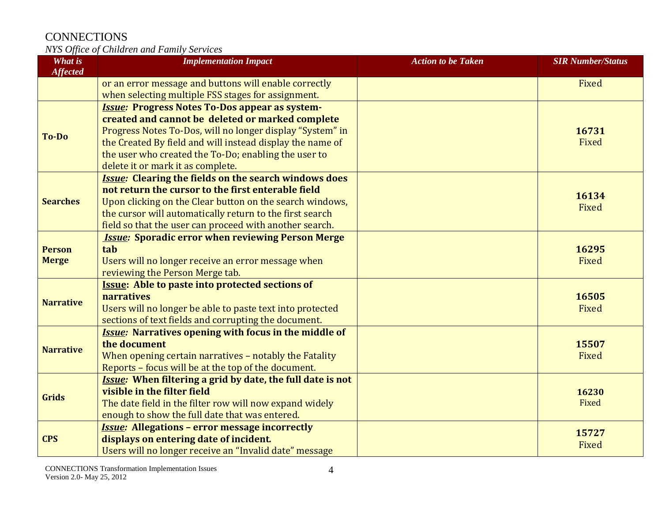| What is          | <b>Implementation Impact</b>                                                                                      | <b>Action to be Taken</b> | <b>SIR Number/Status</b> |
|------------------|-------------------------------------------------------------------------------------------------------------------|---------------------------|--------------------------|
| <b>Affected</b>  |                                                                                                                   |                           |                          |
|                  | or an error message and buttons will enable correctly                                                             |                           | Fixed                    |
|                  | when selecting multiple FSS stages for assignment.                                                                |                           |                          |
|                  | <b>Issue: Progress Notes To-Dos appear as system-</b>                                                             |                           |                          |
|                  | created and cannot be deleted or marked complete                                                                  |                           | 16731                    |
| <b>To-Do</b>     | Progress Notes To-Dos, will no longer display "System" in                                                         |                           | Fixed                    |
|                  | the Created By field and will instead display the name of<br>the user who created the To-Do; enabling the user to |                           |                          |
|                  | delete it or mark it as complete.                                                                                 |                           |                          |
|                  | <b>Issue: Clearing the fields on the search windows does</b>                                                      |                           |                          |
|                  | not return the cursor to the first enterable field                                                                |                           |                          |
| <b>Searches</b>  | Upon clicking on the Clear button on the search windows,                                                          |                           | 16134                    |
|                  | the cursor will automatically return to the first search                                                          |                           | Fixed                    |
|                  | field so that the user can proceed with another search.                                                           |                           |                          |
|                  | <b>Issue: Sporadic error when reviewing Person Merge</b>                                                          |                           |                          |
| <b>Person</b>    | tab                                                                                                               |                           | 16295                    |
| <b>Merge</b>     | Users will no longer receive an error message when                                                                |                           | Fixed                    |
|                  | reviewing the Person Merge tab.                                                                                   |                           |                          |
|                  | <b>Issue: Able to paste into protected sections of</b>                                                            |                           |                          |
| <b>Narrative</b> | narratives                                                                                                        |                           | 16505                    |
|                  | Users will no longer be able to paste text into protected                                                         |                           | Fixed                    |
|                  | sections of text fields and corrupting the document.                                                              |                           |                          |
| <b>Narrative</b> | <b>Issue:</b> Narratives opening with focus in the middle of                                                      |                           |                          |
|                  | the document                                                                                                      |                           | 15507                    |
|                  | When opening certain narratives - notably the Fatality                                                            |                           | Fixed                    |
|                  | Reports - focus will be at the top of the document.                                                               |                           |                          |
| <b>Grids</b>     | <b>Issue:</b> When filtering a grid by date, the full date is not                                                 |                           |                          |
|                  | visible in the filter field                                                                                       |                           | 16230                    |
|                  | The date field in the filter row will now expand widely                                                           |                           | Fixed                    |
|                  | enough to show the full date that was entered.                                                                    |                           |                          |
|                  | <b>Issue: Allegations - error message incorrectly</b>                                                             |                           | 15727                    |
| <b>CPS</b>       | displays on entering date of incident.                                                                            |                           | Fixed                    |
|                  | Users will no longer receive an "Invalid date" message                                                            |                           |                          |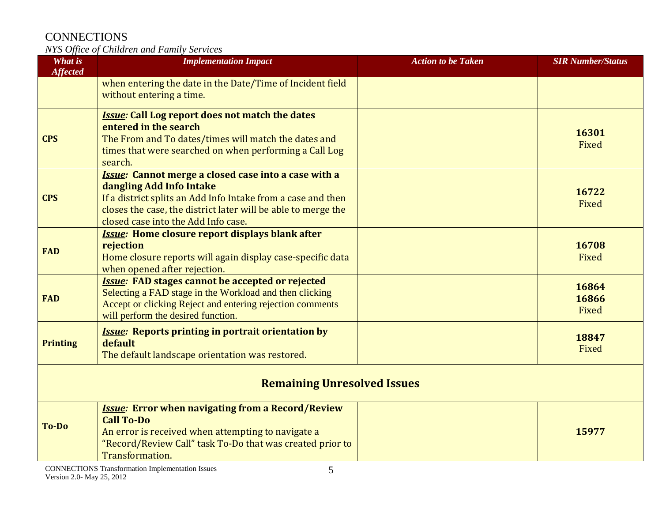| What is<br><b>Affected</b>         | <b>Implementation Impact</b>                                                                                                                                                                                                                                    | <b>Action to be Taken</b> | <b>SIR Number/Status</b> |
|------------------------------------|-----------------------------------------------------------------------------------------------------------------------------------------------------------------------------------------------------------------------------------------------------------------|---------------------------|--------------------------|
|                                    | when entering the date in the Date/Time of Incident field<br>without entering a time.                                                                                                                                                                           |                           |                          |
| <b>CPS</b>                         | <b>Issue: Call Log report does not match the dates</b><br>entered in the search<br>The From and To dates/times will match the dates and<br>times that were searched on when performing a Call Log<br>search.                                                    |                           | 16301<br>Fixed           |
| <b>CPS</b>                         | <b>Issue:</b> Cannot merge a closed case into a case with a<br>dangling Add Info Intake<br>If a district splits an Add Info Intake from a case and then<br>closes the case, the district later will be able to merge the<br>closed case into the Add Info case. |                           | 16722<br>Fixed           |
| <b>FAD</b>                         | <b>Issue:</b> Home closure report displays blank after<br>rejection<br>Home closure reports will again display case-specific data<br>when opened after rejection.                                                                                               |                           | 16708<br>Fixed           |
| <b>FAD</b>                         | <b>Issue: FAD stages cannot be accepted or rejected</b><br>Selecting a FAD stage in the Workload and then clicking<br>Accept or clicking Reject and entering rejection comments<br>will perform the desired function.                                           |                           | 16864<br>16866<br>Fixed  |
| <b>Printing</b>                    | <b>Issue: Reports printing in portrait orientation by</b><br>default<br>The default landscape orientation was restored.                                                                                                                                         |                           | 18847<br>Fixed           |
| <b>Remaining Unresolved Issues</b> |                                                                                                                                                                                                                                                                 |                           |                          |
| <b>To-Do</b>                       | <b>Issue: Error when navigating from a Record/Review</b><br><b>Call To-Do</b><br>An error is received when attempting to navigate a<br>"Record/Review Call" task To-Do that was created prior to<br>Transformation.                                             |                           | 15977                    |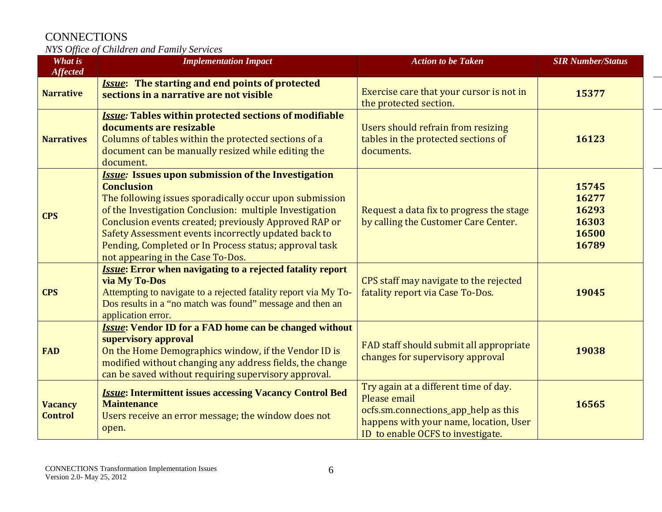| <b>What is</b><br><b>Affected</b> | <b>Implementation Impact</b>                                                                                                                                                                                                                                                                                                                                                                                         | <b>Action to be Taken</b>                                                                                                                                                    | <b>SIR Number/Status</b>                           |
|-----------------------------------|----------------------------------------------------------------------------------------------------------------------------------------------------------------------------------------------------------------------------------------------------------------------------------------------------------------------------------------------------------------------------------------------------------------------|------------------------------------------------------------------------------------------------------------------------------------------------------------------------------|----------------------------------------------------|
| <b>Narrative</b>                  | <b>Issue:</b> The starting and end points of protected<br>sections in a narrative are not visible                                                                                                                                                                                                                                                                                                                    | Exercise care that your cursor is not in<br>the protected section.                                                                                                           | 15377                                              |
| <b>Narratives</b>                 | <b>Issue: Tables within protected sections of modifiable</b><br>documents are resizable<br>Columns of tables within the protected sections of a<br>document can be manually resized while editing the<br>document.                                                                                                                                                                                                   | Users should refrain from resizing<br>tables in the protected sections of<br>documents.                                                                                      | 16123                                              |
| <b>CPS</b>                        | <b>Issue:</b> Issues upon submission of the Investigation<br><b>Conclusion</b><br>The following issues sporadically occur upon submission<br>of the Investigation Conclusion: multiple Investigation<br>Conclusion events created; previously Approved RAP or<br>Safety Assessment events incorrectly updated back to<br>Pending, Completed or In Process status; approval task<br>not appearing in the Case To-Dos. | Request a data fix to progress the stage<br>by calling the Customer Care Center.                                                                                             | 15745<br>16277<br>16293<br>16303<br>16500<br>16789 |
| <b>CPS</b>                        | <b>Issue:</b> Error when navigating to a rejected fatality report<br>via My To-Dos<br>Attempting to navigate to a rejected fatality report via My To-<br>Dos results in a "no match was found" message and then an<br>application error.                                                                                                                                                                             | CPS staff may navigate to the rejected<br>fatality report via Case To-Dos.                                                                                                   | 19045                                              |
| <b>FAD</b>                        | <b>Issue: Vendor ID for a FAD home can be changed without</b><br>supervisory approval<br>On the Home Demographics window, if the Vendor ID is<br>modified without changing any address fields, the change<br>can be saved without requiring supervisory approval.                                                                                                                                                    | FAD staff should submit all appropriate<br>changes for supervisory approval                                                                                                  | 19038                                              |
| <b>Vacancy</b><br><b>Control</b>  | <b>Issue: Intermittent issues accessing Vacancy Control Bed</b><br><b>Maintenance</b><br>Users receive an error message; the window does not<br>open.                                                                                                                                                                                                                                                                | Try again at a different time of day.<br>Please email<br>ocfs.sm.connections_app_help as this<br>happens with your name, location, User<br>ID to enable OCFS to investigate. | 16565                                              |